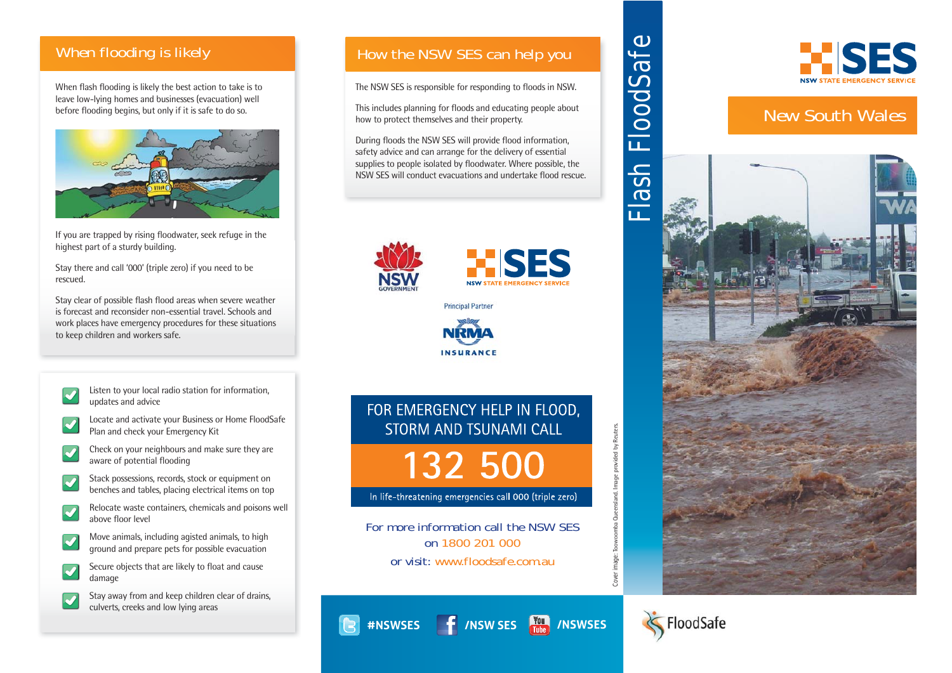## **When flooding is likely**

When flash flooding is likely the best action to take is to leave low-lying homes and businesses (evacuation) well before flooding begins, but only if it is safe to do so.



If you are trapped by rising floodwater, seek refuge in the highest part of a sturdy building.

Stay there and call '000' (triple zero) if you need to be rescued.

Stay clear of possible flash flood areas when severe weather is forecast and reconsider non-essential travel. Schools and work places have emergency procedures for these situations to keep children and workers safe.

- Listen to your local radio station for information,  $\blacktriangledown$ updates and advice
- Locate and activate your Business or Home FloodSafe Plan and check your Emergency Kit
- Check on your neighbours and make sure they are aware of potential flooding
- Stack possessions, records, stock or equipment on  $\blacktriangledown$ benches and tables, placing electrical items on top
- Relocate waste containers, chemicals and poisons well above floor level
- Move animals, including agisted animals, to high ground and prepare pets for possible evacuation
- Secure objects that are likely to float and cause  $\blacktriangledown$ damage
	- Stay away from and keep children clear of drains, culverts, creeks and low lying areas

## **How the NSW SES can help you**

The NSW SES is responsible for responding to floods in NSW.

This includes planning for floods and educating people about how to protect themselves and their property.

During floods the NSW SES will provide flood information, safety advice and can arrange for the delivery of essential supplies to people isolated by floodwater. Where possible, the NSW SES will conduct evacuations and undertake flood rescue.



R





# FOR EMERGENCY HELP IN FLOOD. STORM AND TSUNAMI CALL

132 500

In life-threatening emergencies call 000 (triple zero)

**or visit: www.floodsafe.com.auFor more information call the NSW SES on 1800 201 000** 

**#NSWSES /NSW SES /NSWSES**





# **New South Wales**





**Cover image**: Toowoomba Queensland. Image provided by Reuters.

Image provided by Reuters.